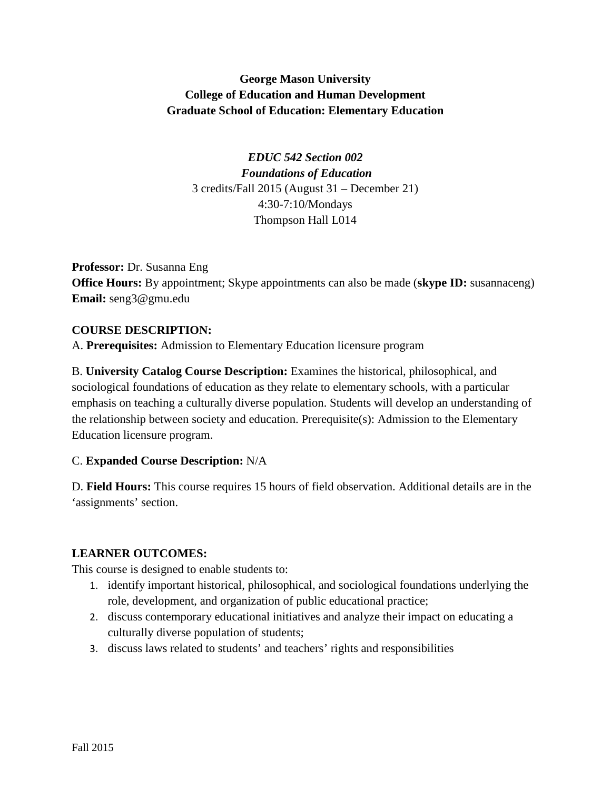# **George Mason University College of Education and Human Development Graduate School of Education: Elementary Education**

*EDUC 542 Section 002 Foundations of Education* 3 credits/Fall 2015 (August 31 – December 21) 4:30-7:10/Mondays Thompson Hall L014

**Professor:** Dr. Susanna Eng **Office Hours:** By appointment; Skype appointments can also be made (**skype ID:** susannaceng) **Email:** seng3@gmu.edu

## **COURSE DESCRIPTION:**

A. **Prerequisites:** Admission to Elementary Education licensure program

B. **University Catalog Course Description:** Examines the historical, philosophical, and sociological foundations of education as they relate to elementary schools, with a particular emphasis on teaching a culturally diverse population. Students will develop an understanding of the relationship between society and education. Prerequisite(s): Admission to the Elementary Education licensure program.

## C. **Expanded Course Description:** N/A

D. **Field Hours:** This course requires 15 hours of field observation. Additional details are in the 'assignments' section.

## **LEARNER OUTCOMES:**

This course is designed to enable students to:

- 1. identify important historical, philosophical, and sociological foundations underlying the role, development, and organization of public educational practice;
- 2. discuss contemporary educational initiatives and analyze their impact on educating a culturally diverse population of students;
- 3. discuss laws related to students' and teachers' rights and responsibilities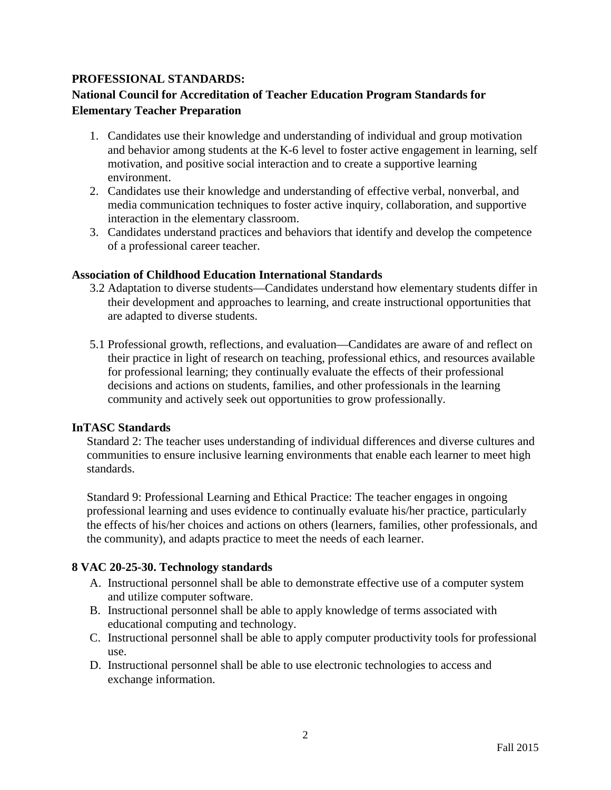## **PROFESSIONAL STANDARDS:**

## **National Council for Accreditation of Teacher Education Program Standards for Elementary Teacher Preparation**

- 1. Candidates use their knowledge and understanding of individual and group motivation and behavior among students at the K-6 level to foster active engagement in learning, self motivation, and positive social interaction and to create a supportive learning environment.
- 2. Candidates use their knowledge and understanding of effective verbal, nonverbal, and media communication techniques to foster active inquiry, collaboration, and supportive interaction in the elementary classroom.
- 3. Candidates understand practices and behaviors that identify and develop the competence of a professional career teacher.

#### **Association of Childhood Education International Standards**

- 3.2 Adaptation to diverse students—Candidates understand how elementary students differ in their development and approaches to learning, and create instructional opportunities that are adapted to diverse students.
- 5.1 Professional growth, reflections, and evaluation—Candidates are aware of and reflect on their practice in light of research on teaching, professional ethics, and resources available for professional learning; they continually evaluate the effects of their professional decisions and actions on students, families, and other professionals in the learning community and actively seek out opportunities to grow professionally.

#### **InTASC Standards**

Standard 2: The teacher uses understanding of individual differences and diverse cultures and communities to ensure inclusive learning environments that enable each learner to meet high standards.

Standard 9: Professional Learning and Ethical Practice: The teacher engages in ongoing professional learning and uses evidence to continually evaluate his/her practice, particularly the effects of his/her choices and actions on others (learners, families, other professionals, and the community), and adapts practice to meet the needs of each learner.

#### **8 VAC 20-25-30. Technology standards**

- A. Instructional personnel shall be able to demonstrate effective use of a computer system and utilize computer software.
- B. Instructional personnel shall be able to apply knowledge of terms associated with educational computing and technology.
- C. Instructional personnel shall be able to apply computer productivity tools for professional use.
- D. Instructional personnel shall be able to use electronic technologies to access and exchange information.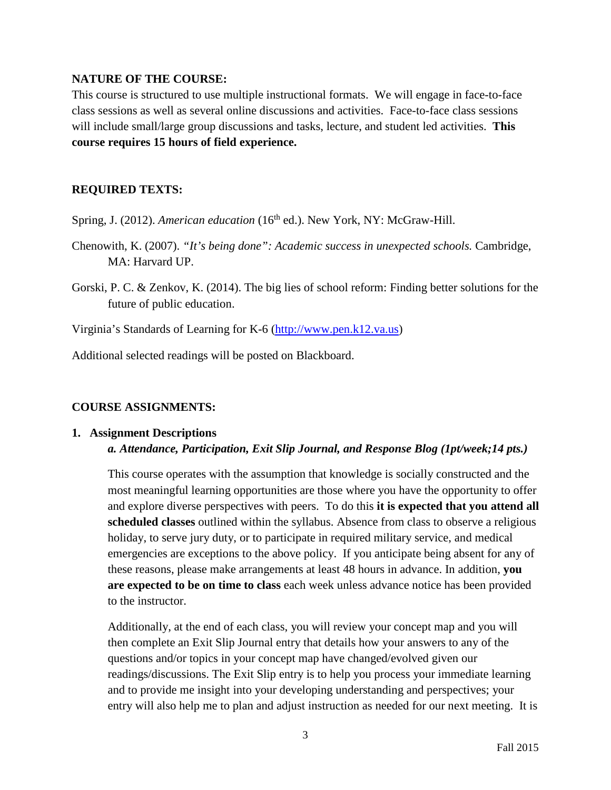### **NATURE OF THE COURSE:**

This course is structured to use multiple instructional formats. We will engage in face-to-face class sessions as well as several online discussions and activities. Face-to-face class sessions will include small/large group discussions and tasks, lecture, and student led activities. **This course requires 15 hours of field experience.** 

## **REQUIRED TEXTS:**

- Spring, J. (2012). *American education* (16<sup>th</sup> ed.). New York, NY: McGraw-Hill.
- Chenowith, K. (2007). *"It's being done": Academic success in unexpected schools.* Cambridge, MA: Harvard UP.
- Gorski, P. C. & Zenkov, K. (2014). The big lies of school reform: Finding better solutions for the future of public education.

Virginia's Standards of Learning for K-6 [\(http://www.pen.k12.va.us\)](http://www.pen.k12.va.us/)

Additional selected readings will be posted on Blackboard.

## **COURSE ASSIGNMENTS:**

### **1. Assignment Descriptions** *a. Attendance, Participation, Exit Slip Journal, and Response Blog (1pt/week;14 pts.)*

This course operates with the assumption that knowledge is socially constructed and the most meaningful learning opportunities are those where you have the opportunity to offer and explore diverse perspectives with peers. To do this **it is expected that you attend all scheduled classes** outlined within the syllabus. Absence from class to observe a religious holiday, to serve jury duty, or to participate in required military service, and medical emergencies are exceptions to the above policy. If you anticipate being absent for any of these reasons, please make arrangements at least 48 hours in advance. In addition, **you are expected to be on time to class** each week unless advance notice has been provided to the instructor.

Additionally, at the end of each class, you will review your concept map and you will then complete an Exit Slip Journal entry that details how your answers to any of the questions and/or topics in your concept map have changed/evolved given our readings/discussions. The Exit Slip entry is to help you process your immediate learning and to provide me insight into your developing understanding and perspectives; your entry will also help me to plan and adjust instruction as needed for our next meeting. It is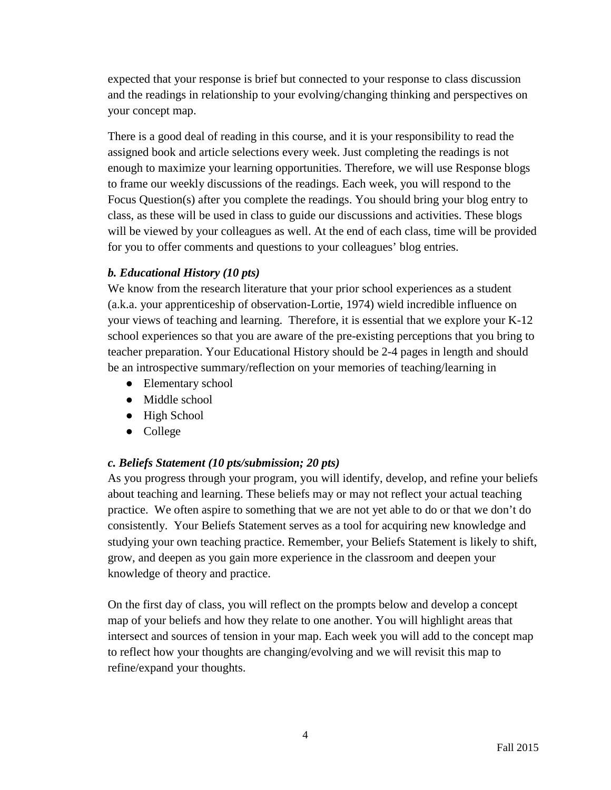expected that your response is brief but connected to your response to class discussion and the readings in relationship to your evolving/changing thinking and perspectives on your concept map.

There is a good deal of reading in this course, and it is your responsibility to read the assigned book and article selections every week. Just completing the readings is not enough to maximize your learning opportunities. Therefore, we will use Response blogs to frame our weekly discussions of the readings. Each week, you will respond to the Focus Question(s) after you complete the readings. You should bring your blog entry to class, as these will be used in class to guide our discussions and activities. These blogs will be viewed by your colleagues as well. At the end of each class, time will be provided for you to offer comments and questions to your colleagues' blog entries.

## *b. Educational History (10 pts)*

We know from the research literature that your prior school experiences as a student (a.k.a. your apprenticeship of observation-Lortie, 1974) wield incredible influence on your views of teaching and learning. Therefore, it is essential that we explore your K-12 school experiences so that you are aware of the pre-existing perceptions that you bring to teacher preparation. Your Educational History should be 2-4 pages in length and should be an introspective summary/reflection on your memories of teaching/learning in

- Elementary school
- Middle school
- High School
- College

## *c. Beliefs Statement (10 pts/submission; 20 pts)*

As you progress through your program, you will identify, develop, and refine your beliefs about teaching and learning. These beliefs may or may not reflect your actual teaching practice. We often aspire to something that we are not yet able to do or that we don't do consistently. Your Beliefs Statement serves as a tool for acquiring new knowledge and studying your own teaching practice. Remember, your Beliefs Statement is likely to shift, grow, and deepen as you gain more experience in the classroom and deepen your knowledge of theory and practice.

On the first day of class, you will reflect on the prompts below and develop a concept map of your beliefs and how they relate to one another. You will highlight areas that intersect and sources of tension in your map. Each week you will add to the concept map to reflect how your thoughts are changing/evolving and we will revisit this map to refine/expand your thoughts.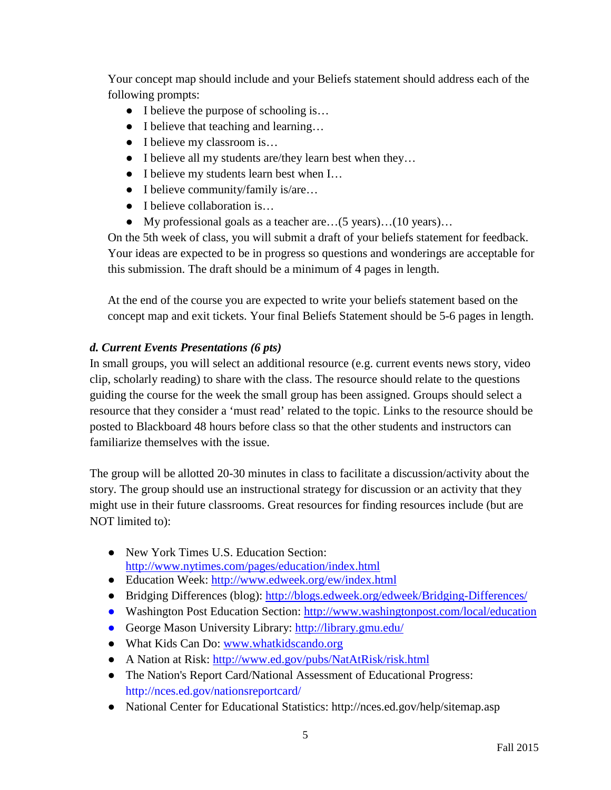Your concept map should include and your Beliefs statement should address each of the following prompts:

- I believe the purpose of schooling is...
- I believe that teaching and learning...
- I believe my classroom is...
- I believe all my students are/they learn best when they…
- I believe my students learn best when I...
- I believe community/family is/are...
- I believe collaboration is...
- My professional goals as a teacher are…(5 years)…(10 years)…

On the 5th week of class, you will submit a draft of your beliefs statement for feedback. Your ideas are expected to be in progress so questions and wonderings are acceptable for this submission. The draft should be a minimum of 4 pages in length.

At the end of the course you are expected to write your beliefs statement based on the concept map and exit tickets. Your final Beliefs Statement should be 5-6 pages in length.

# *d. Current Events Presentations (6 pts)*

In small groups, you will select an additional resource (e.g. current events news story, video clip, scholarly reading) to share with the class. The resource should relate to the questions guiding the course for the week the small group has been assigned. Groups should select a resource that they consider a 'must read' related to the topic. Links to the resource should be posted to Blackboard 48 hours before class so that the other students and instructors can familiarize themselves with the issue.

The group will be allotted 20-30 minutes in class to facilitate a discussion/activity about the story. The group should use an instructional strategy for discussion or an activity that they might use in their future classrooms. Great resources for finding resources include (but are NOT limited to):

- New York Times U.S. Education Section: <http://www.nytimes.com/pages/education/index.html>
- Education Week:<http://www.edweek.org/ew/index.html>
- Bridging Differences (blog):<http://blogs.edweek.org/edweek/Bridging-Differences/>
- Washington Post Education Section:<http://www.washingtonpost.com/local/education>
- George Mason University Library:<http://library.gmu.edu/>
- What Kids Can Do: [www.whatkidscando.org](http://www.whatkidscando.org/)
- A Nation at Risk:<http://www.ed.gov/pubs/NatAtRisk/risk.html>
- The Nation's Report Card/National Assessment of Educational Progress: http://nces.ed.gov/nationsreportcard/
- National Center for Educational Statistics: http://nces.ed.gov/help/sitemap.asp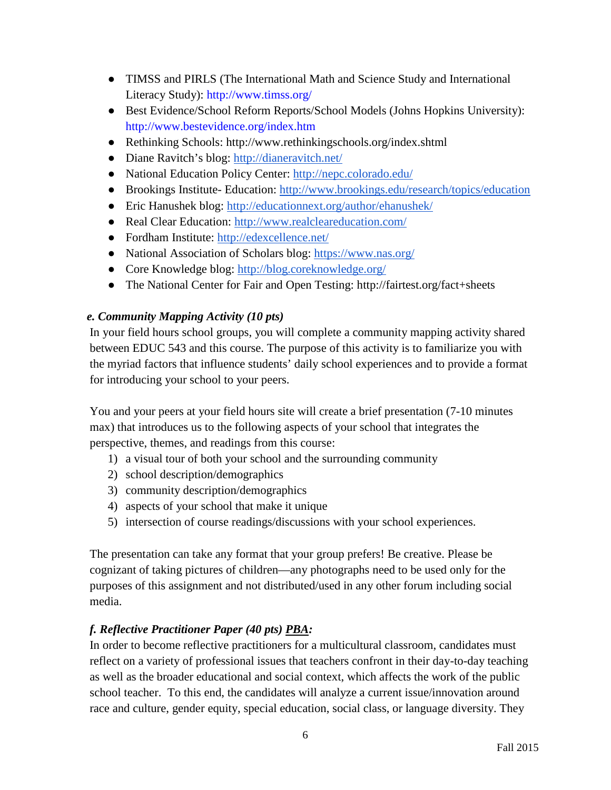- TIMSS and PIRLS (The International Math and Science Study and International Literacy Study): http://www.timss.org/
- Best Evidence/School Reform Reports/School Models (Johns Hopkins University): http://www.bestevidence.org/index.htm
- Rethinking Schools: http://www.rethinkingschools.org/index.shtml
- Diane Ravitch's blog:<http://dianeravitch.net/>
- National Education Policy Center:<http://nepc.colorado.edu/>
- Brookings Institute- Education:<http://www.brookings.edu/research/topics/education>
- Eric Hanushek blog:<http://educationnext.org/author/ehanushek/>
- Real Clear Education:<http://www.realcleareducation.com/>
- Fordham Institute:<http://edexcellence.net/>
- National Association of Scholars blog:<https://www.nas.org/>
- Core Knowledge blog:<http://blog.coreknowledge.org/>
- The National Center for Fair and Open Testing: http://fairtest.org/fact+sheets

## *e. Community Mapping Activity (10 pts)*

In your field hours school groups, you will complete a community mapping activity shared between EDUC 543 and this course. The purpose of this activity is to familiarize you with the myriad factors that influence students' daily school experiences and to provide a format for introducing your school to your peers.

You and your peers at your field hours site will create a brief presentation (7-10 minutes max) that introduces us to the following aspects of your school that integrates the perspective, themes, and readings from this course:

- 1) a visual tour of both your school and the surrounding community
- 2) school description/demographics
- 3) community description/demographics
- 4) aspects of your school that make it unique
- 5) intersection of course readings/discussions with your school experiences.

The presentation can take any format that your group prefers! Be creative. Please be cognizant of taking pictures of children—any photographs need to be used only for the purposes of this assignment and not distributed/used in any other forum including social media.

# *f. Reflective Practitioner Paper (40 pts) PBA:*

In order to become reflective practitioners for a multicultural classroom, candidates must reflect on a variety of professional issues that teachers confront in their day-to-day teaching as well as the broader educational and social context, which affects the work of the public school teacher. To this end, the candidates will analyze a current issue/innovation around race and culture, gender equity, special education, social class, or language diversity. They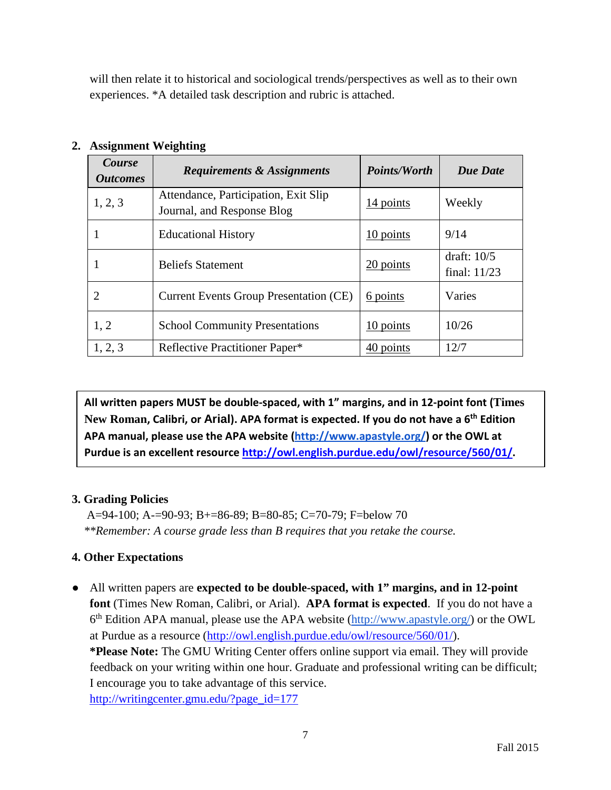will then relate it to historical and sociological trends/perspectives as well as to their own experiences. \*A detailed task description and rubric is attached.

| Course<br><i><b>Outcomes</b></i> | <b>Requirements &amp; Assignments</b>                              | <b>Points/Worth</b> | <b>Due Date</b>                 |
|----------------------------------|--------------------------------------------------------------------|---------------------|---------------------------------|
| 1, 2, 3                          | Attendance, Participation, Exit Slip<br>Journal, and Response Blog | 14 points           | Weekly                          |
| 1                                | <b>Educational History</b>                                         | $10$ points         | 9/14                            |
| -                                | <b>Beliefs Statement</b>                                           | 20 points           | draft: $10/5$<br>final: $11/23$ |
| $\overline{2}$                   | <b>Current Events Group Presentation (CE)</b>                      | 6 points            | Varies                          |
| 1, 2                             | <b>School Community Presentations</b>                              | 10 points           | 10/26                           |
| 1, 2, 3                          | Reflective Practitioner Paper*                                     | 40 points           | 12/7                            |

# **2. Assignment Weighting**

**All written papers MUST be double-spaced, with 1" margins, and in 12-point font (Times New Roman, Calibri, or Arial). APA format is expected. If you do not have a 6th Edition APA manual, please use the APA website [\(http://www.apastyle.org/\)](http://www.apastyle.org/) or the OWL at Purdue is an excellent resource http://owl.english.purdue.edu/owl/resource/560/01/.**

# **3. Grading Policies**

 A=94-100; A-=90-93; B+=86-89; B=80-85; C=70-79; F=below 70  *\*\*Remember: A course grade less than B requires that you retake the course.*

# **4. Other Expectations**

● All written papers are **expected to be double-spaced, with 1" margins, and in 12-point font** (Times New Roman, Calibri, or Arial). **APA format is expected**. If you do not have a  $6<sup>th</sup> Edition APA manual, please use the APA website (<http://www.apastyle.org/>) or the OWL$ at Purdue as a resource [\(http://owl.english.purdue.edu/owl/resource/560/01/\)](http://owl.english.purdue.edu/owl/resource/560/01/). **\*Please Note:** The GMU Writing Center offers online support via email. They will provide feedback on your writing within one hour. Graduate and professional writing can be difficult; I encourage you to take advantage of this service. [http://writingcenter.gmu.edu/?page\\_id=177](http://writingcenter.gmu.edu/?page_id=177)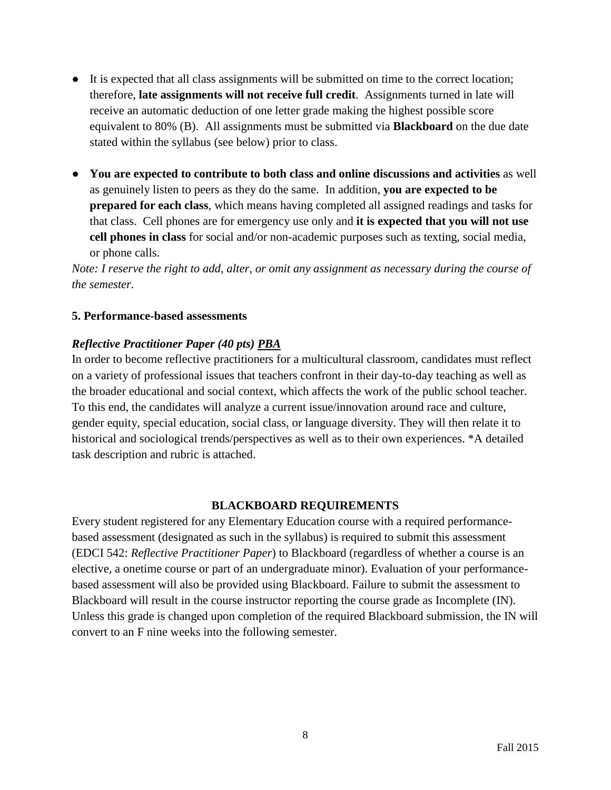- It is expected that all class assignments will be submitted on time to the correct location; therefore, **late assignments will not receive full credit**. Assignments turned in late will receive an automatic deduction of one letter grade making the highest possible score equivalent to 80% (B). All assignments must be submitted via **Blackboard** on the due date stated within the syllabus (see below) prior to class.
- **You are expected to contribute to both class and online discussions and activities** as well as genuinely listen to peers as they do the same. In addition, **you are expected to be prepared for each class**, which means having completed all assigned readings and tasks for that class. Cell phones are for emergency use only and **it is expected that you will not use cell phones in class** for social and/or non-academic purposes such as texting, social media, or phone calls.

*Note: I reserve the right to add, alter, or omit any assignment as necessary during the course of the semester.*

### **5. Performance-based assessments**

## *Reflective Practitioner Paper (40 pts) PBA*

In order to become reflective practitioners for a multicultural classroom, candidates must reflect on a variety of professional issues that teachers confront in their day-to-day teaching as well as the broader educational and social context, which affects the work of the public school teacher. To this end, the candidates will analyze a current issue/innovation around race and culture, gender equity, special education, social class, or language diversity. They will then relate it to historical and sociological trends/perspectives as well as to their own experiences. \*A detailed task description and rubric is attached.

#### **BLACKBOARD REQUIREMENTS**

Every student registered for any Elementary Education course with a required performancebased assessment (designated as such in the syllabus) is required to submit this assessment (EDCI 542: *Reflective Practitioner Paper*) to Blackboard (regardless of whether a course is an elective, a onetime course or part of an undergraduate minor). Evaluation of your performancebased assessment will also be provided using Blackboard. Failure to submit the assessment to Blackboard will result in the course instructor reporting the course grade as Incomplete (IN). Unless this grade is changed upon completion of the required Blackboard submission, the IN will convert to an F nine weeks into the following semester.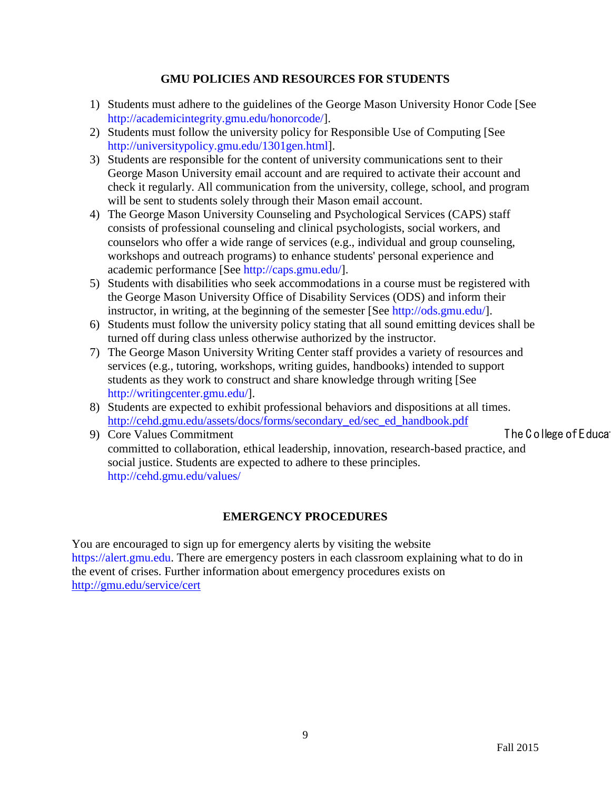### **GMU POLICIES AND RESOURCES FOR STUDENTS**

- 1) Students must adhere to the guidelines of the George Mason University Honor Code [See [http://academicintegrity.gmu.edu/honorcode/\]](http://academicintegrity.gmu.edu/honorcode/).
- 2) Students must follow the university policy for Responsible Use of Computing [See [http://universitypolicy.gmu.edu/1301gen.html\]](http://universitypolicy.gmu.edu/1301gen.html).
- 3) Students are responsible for the content of university communications sent to their George Mason University email account and are required to activate their account and check it regularly. All communication from the university, college, school, and program will be sent to students solely through their Mason email account.
- 4) The George Mason University Counseling and Psychological Services (CAPS) staff consists of professional counseling and clinical psychologists, social workers, and counselors who offer a wide range of services (e.g., individual and group counseling, workshops and outreach programs) to enhance students' personal experience and academic performance [See [http://caps.gmu.edu/\]](http://caps.gmu.edu/).
- 5) Students with disabilities who seek accommodations in a course must be registered with the George Mason University Office of Disability Services (ODS) and inform their instructor, in writing, at the beginning of the semester [See [http://ods.gmu.edu/\]](http://ods.gmu.edu/).
- 6) Students must follow the university policy stating that all sound emitting devices shall be turned off during class unless otherwise authorized by the instructor.
- 7) The George Mason University Writing Center staff provides a variety of resources and services (e.g., tutoring, workshops, writing guides, handbooks) intended to support students as they work to construct and share knowledge through writing [See [http://writingcenter.gmu.edu/\]](http://writingcenter.gmu.edu/).
- 8) Students are expected to exhibit professional behaviors and dispositions at all times. [http://cehd.gmu.edu/assets/docs/forms/secondary\\_ed/sec\\_ed\\_handbook.pdf](http://cehd.gmu.edu/assets/docs/forms/secondary_ed/sec_ed_handbook.pdf)

9) Core Values Commitment The College of Education Core Values Commitment

committed to collaboration, ethical leadership, innovation, research-based practice, and social justice. Students are expected to adhere to these principles. <http://cehd.gmu.edu/values/>

## **EMERGENCY PROCEDURES**

You are encouraged to sign up for emergency alerts by visiting the website [https://alert.gmu.edu.](https://alert.gmu.edu/) There are emergency posters in each classroom explaining what to do in the event of crises. Further information about emergency procedures exists on <http://gmu.edu/service/cert>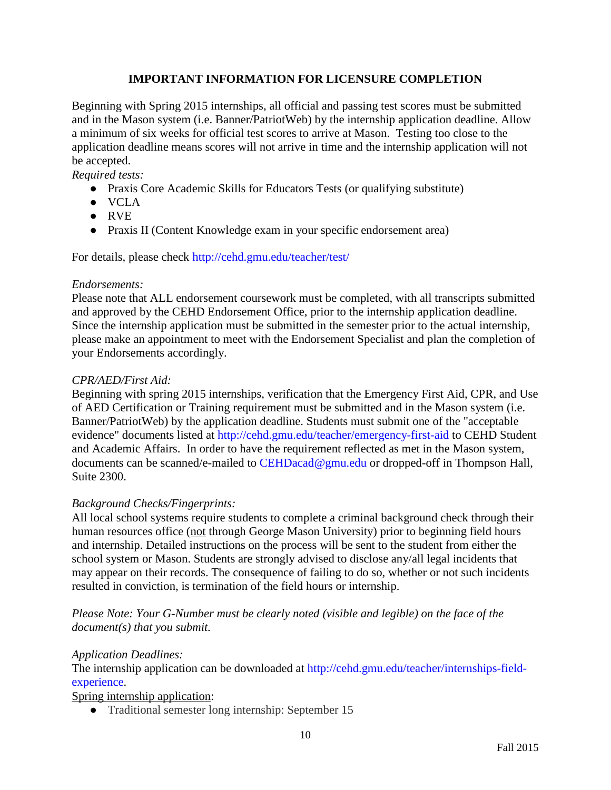## **IMPORTANT INFORMATION FOR LICENSURE COMPLETION**

Beginning with Spring 2015 internships, all official and passing test scores must be submitted and in the Mason system (i.e. Banner/PatriotWeb) by the internship application deadline. Allow a minimum of six weeks for official test scores to arrive at Mason. Testing too close to the application deadline means scores will not arrive in time and the internship application will not be accepted.

*Required tests:*

- Praxis Core Academic Skills for Educators Tests (or qualifying substitute)
- VCLA
- RVE
- Praxis II (Content Knowledge exam in your specific endorsement area)

For details, please check<http://cehd.gmu.edu/teacher/test/>

#### *Endorsements:*

Please note that ALL endorsement coursework must be completed, with all transcripts submitted and approved by the CEHD Endorsement Office, prior to the internship application deadline. Since the internship application must be submitted in the semester prior to the actual internship, please make an appointment to meet with the Endorsement Specialist and plan the completion of your Endorsements accordingly.

## *CPR/AED/First Aid:*

Beginning with spring 2015 internships, verification that the Emergency First Aid, CPR, and Use of AED Certification or Training requirement must be submitted and in the Mason system (i.e. Banner/PatriotWeb) by the application deadline. Students must submit one of the "acceptable evidence" documents listed at<http://cehd.gmu.edu/teacher/emergency-first-aid> to CEHD Student and Academic Affairs. In order to have the requirement reflected as met in the Mason system, documents can be scanned/e-mailed to [CEHDacad@gmu.edu](mailto:cehdacad@gmu.edu) or dropped-off in Thompson Hall, Suite 2300.

## *Background Checks/Fingerprints:*

All local school systems require students to complete a criminal background check through their human resources office (not through George Mason University) prior to beginning field hours and internship. Detailed instructions on the process will be sent to the student from either the school system or Mason. Students are strongly advised to disclose any/all legal incidents that may appear on their records. The consequence of failing to do so, whether or not such incidents resulted in conviction, is termination of the field hours or internship.

## *Please Note: Your G-Number must be clearly noted (visible and legible) on the face of the document(s) that you submit.*

## *Application Deadlines:*

The internship application can be downloaded at [http://cehd.gmu.edu/teacher/internships-field](http://cehd.gmu.edu/teacher/internships-field-experience)[experience.](http://cehd.gmu.edu/teacher/internships-field-experience)

Spring internship application:

• Traditional semester long internship: September 15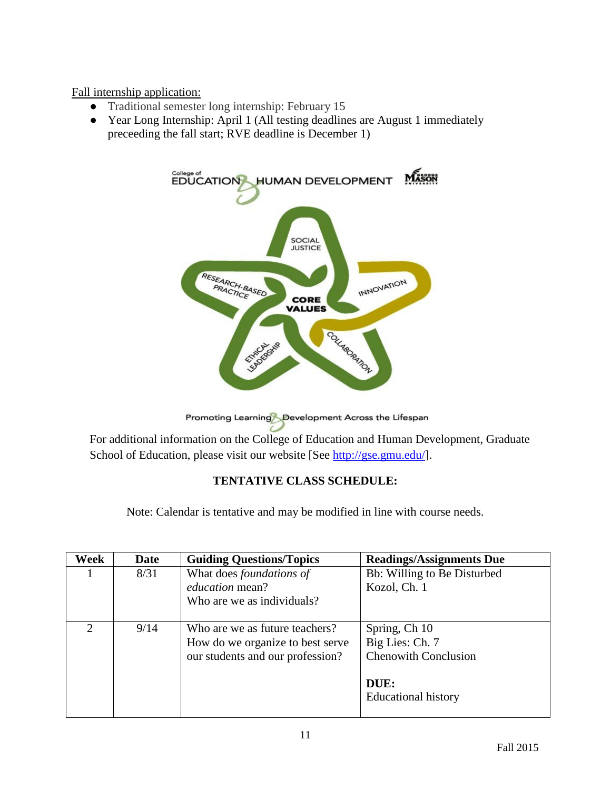Fall internship application:

- Traditional semester long internship: February 15
- Year Long Internship: April 1 (All testing deadlines are August 1 immediately preceeding the fall start; RVE deadline is December 1)



Promoting Learning Development Across the Lifespan

For additional information on the College of Education and Human Development, Graduate School of Education, please visit our website [See [http://gse.gmu.edu/\]](http://gse.gmu.edu/).

# **TENTATIVE CLASS SCHEDULE:**

Note: Calendar is tentative and may be modified in line with course needs.

| Week          | Date | <b>Guiding Questions/Topics</b>  | <b>Readings/Assignments Due</b> |
|---------------|------|----------------------------------|---------------------------------|
|               | 8/31 | What does foundations of         | Bb: Willing to Be Disturbed     |
|               |      | <i>education</i> mean?           | Kozol, Ch. 1                    |
|               |      | Who are we as individuals?       |                                 |
|               |      |                                  |                                 |
| $\mathcal{D}$ | 9/14 | Who are we as future teachers?   | Spring, Ch 10                   |
|               |      | How do we organize to best serve | Big Lies: Ch. 7                 |
|               |      | our students and our profession? | <b>Chenowith Conclusion</b>     |
|               |      |                                  |                                 |
|               |      |                                  | DUE:                            |
|               |      |                                  | <b>Educational history</b>      |
|               |      |                                  |                                 |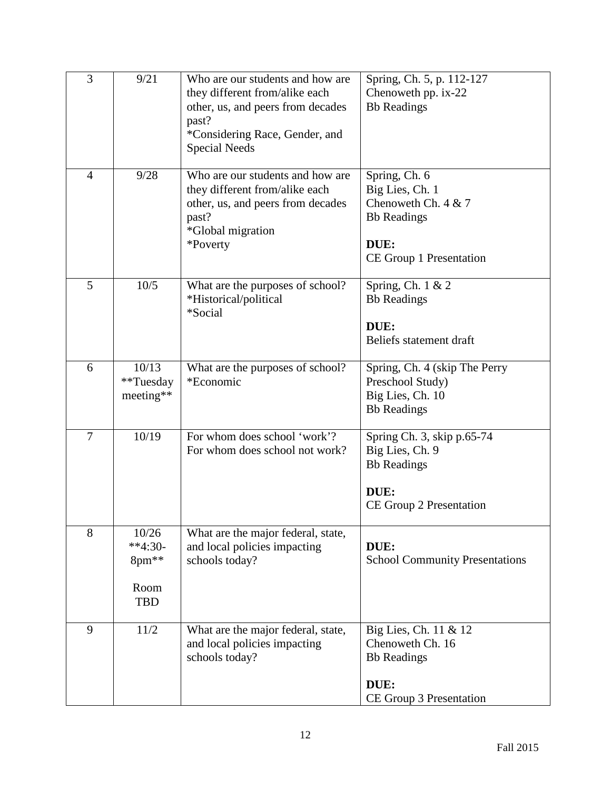| 3              | 9/21                                              | Who are our students and how are<br>they different from/alike each<br>other, us, and peers from decades<br>past?<br>*Considering Race, Gender, and<br><b>Special Needs</b> | Spring, Ch. 5, p. 112-127<br>Chenoweth pp. ix-22<br><b>Bb</b> Readings                                             |
|----------------|---------------------------------------------------|----------------------------------------------------------------------------------------------------------------------------------------------------------------------------|--------------------------------------------------------------------------------------------------------------------|
| $\overline{4}$ | 9/28                                              | Who are our students and how are<br>they different from/alike each<br>other, us, and peers from decades<br>past?<br><i>*</i> Global migration<br>*Poverty                  | Spring, Ch. 6<br>Big Lies, Ch. 1<br>Chenoweth Ch. $4 & 7$<br><b>Bb</b> Readings<br>DUE:<br>CE Group 1 Presentation |
| 5              | 10/5                                              | What are the purposes of school?<br>*Historical/political<br>*Social                                                                                                       | Spring, Ch. 1 & 2<br><b>Bb</b> Readings<br>DUE:<br>Beliefs statement draft                                         |
| 6              | 10/13<br>**Tuesday<br>meeting**                   | What are the purposes of school?<br>*Economic                                                                                                                              | Spring, Ch. 4 (skip The Perry<br>Preschool Study)<br>Big Lies, Ch. 10<br><b>Bb</b> Readings                        |
| 7              | 10/19                                             | For whom does school 'work'?<br>For whom does school not work?                                                                                                             | Spring Ch. 3, skip p.65-74<br>Big Lies, Ch. 9<br><b>Bb</b> Readings<br>DUE:<br>CE Group 2 Presentation             |
| 8              | 10/26<br>$**4:30-$<br>8pm**<br>Room<br><b>TBD</b> | What are the major federal, state,<br>and local policies impacting<br>schools today?                                                                                       | DUE:<br><b>School Community Presentations</b>                                                                      |
| 9              | 11/2                                              | What are the major federal, state,<br>and local policies impacting<br>schools today?                                                                                       | Big Lies, Ch. 11 & 12<br>Chenoweth Ch. 16<br><b>Bb</b> Readings<br>DUE:<br>CE Group 3 Presentation                 |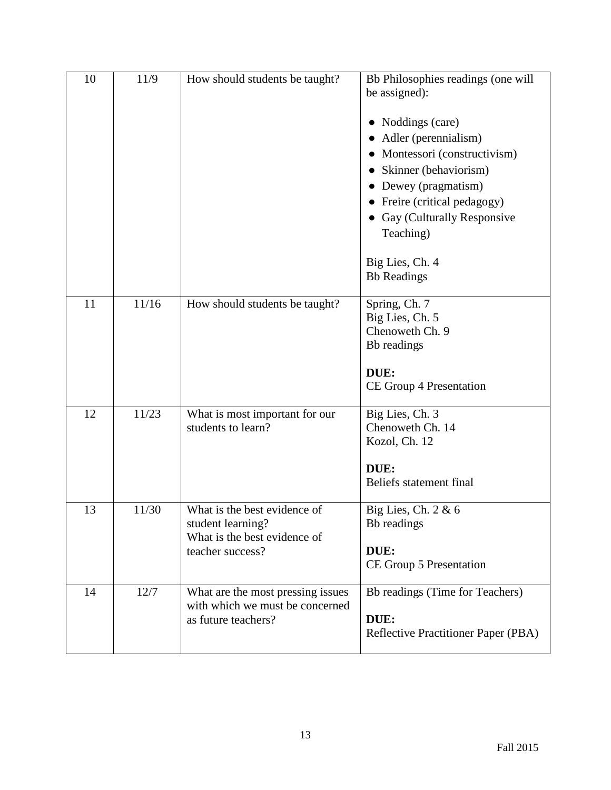| 10 | 11/9  | How should students be taught?                                                                        | Bb Philosophies readings (one will<br>be assigned):<br>Noddings (care)<br>Adler (perennialism)<br>• Montessori (constructivism)<br>• Skinner (behaviorism)<br>• Dewey (pragmatism)<br>Freire (critical pedagogy)<br>• Gay (Culturally Responsive<br>Teaching)<br>Big Lies, Ch. 4<br><b>Bb</b> Readings |
|----|-------|-------------------------------------------------------------------------------------------------------|--------------------------------------------------------------------------------------------------------------------------------------------------------------------------------------------------------------------------------------------------------------------------------------------------------|
| 11 | 11/16 | How should students be taught?                                                                        | Spring, Ch. 7<br>Big Lies, Ch. 5<br>Chenoweth Ch. 9<br>Bb readings<br>DUE:<br>CE Group 4 Presentation                                                                                                                                                                                                  |
| 12 | 11/23 | What is most important for our<br>students to learn?                                                  | Big Lies, Ch. 3<br>Chenoweth Ch. 14<br>Kozol, Ch. 12<br>DUE:<br>Beliefs statement final                                                                                                                                                                                                                |
| 13 | 11/30 | What is the best evidence of<br>student learning?<br>What is the best evidence of<br>teacher success? | Big Lies, Ch. $2 & 6$<br>Bb readings<br>DUE:<br>CE Group 5 Presentation                                                                                                                                                                                                                                |
| 14 | 12/7  | What are the most pressing issues<br>with which we must be concerned<br>as future teachers?           | Bb readings (Time for Teachers)<br>DUE:<br><b>Reflective Practitioner Paper (PBA)</b>                                                                                                                                                                                                                  |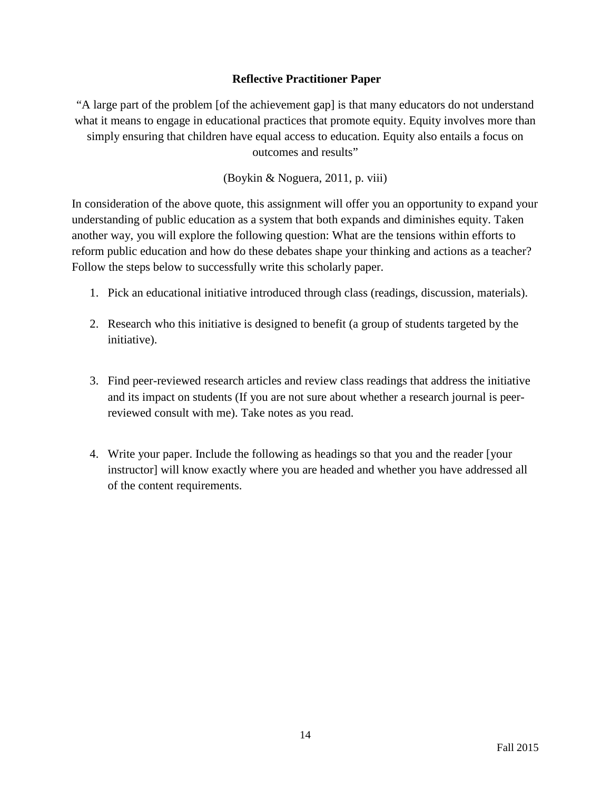## **Reflective Practitioner Paper**

"A large part of the problem [of the achievement gap] is that many educators do not understand what it means to engage in educational practices that promote equity. Equity involves more than simply ensuring that children have equal access to education. Equity also entails a focus on outcomes and results"

(Boykin & Noguera, 2011, p. viii)

In consideration of the above quote, this assignment will offer you an opportunity to expand your understanding of public education as a system that both expands and diminishes equity. Taken another way, you will explore the following question: What are the tensions within efforts to reform public education and how do these debates shape your thinking and actions as a teacher? Follow the steps below to successfully write this scholarly paper.

- 1. Pick an educational initiative introduced through class (readings, discussion, materials).
- 2. Research who this initiative is designed to benefit (a group of students targeted by the initiative).
- 3. Find peer-reviewed research articles and review class readings that address the initiative and its impact on students (If you are not sure about whether a research journal is peerreviewed consult with me). Take notes as you read.
- 4. Write your paper. Include the following as headings so that you and the reader [your instructor] will know exactly where you are headed and whether you have addressed all of the content requirements.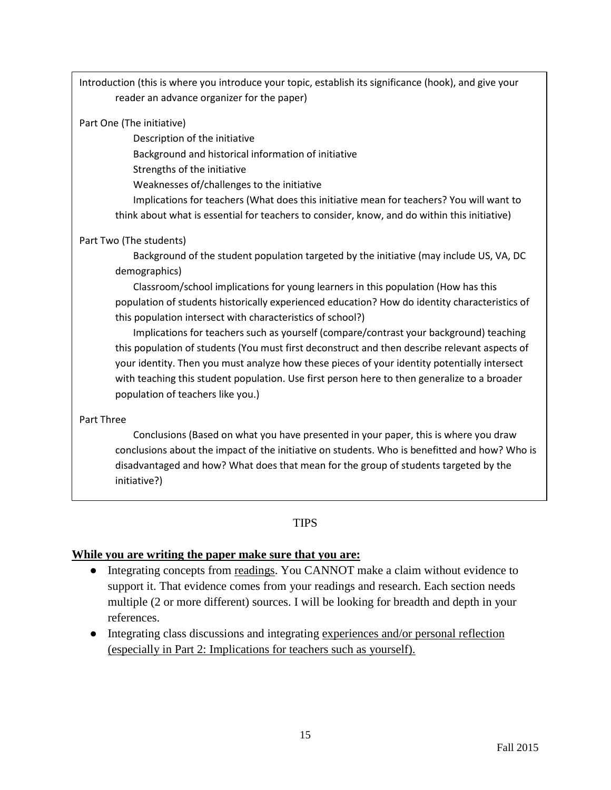Introduction (this is where you introduce your topic, establish its significance (hook), and give your reader an advance organizer for the paper)

#### Part One (The initiative)

Description of the initiative

Background and historical information of initiative

Strengths of the initiative

Weaknesses of/challenges to the initiative

Implications for teachers (What does this initiative mean for teachers? You will want to think about what is essential for teachers to consider, know, and do within this initiative)

## Part Two (The students)

Background of the student population targeted by the initiative (may include US, VA, DC demographics)

Classroom/school implications for young learners in this population (How has this population of students historically experienced education? How do identity characteristics of this population intersect with characteristics of school?)

Implications for teachers such as yourself (compare/contrast your background) teaching this population of students (You must first deconstruct and then describe relevant aspects of your identity. Then you must analyze how these pieces of your identity potentially intersect with teaching this student population. Use first person here to then generalize to a broader population of teachers like you.)

#### Part Three

Conclusions (Based on what you have presented in your paper, this is where you draw conclusions about the impact of the initiative on students. Who is benefitted and how? Who is disadvantaged and how? What does that mean for the group of students targeted by the initiative?)

# **TIPS**

## **While you are writing the paper make sure that you are:**

- Integrating concepts from readings. You CANNOT make a claim without evidence to support it. That evidence comes from your readings and research. Each section needs multiple (2 or more different) sources. I will be looking for breadth and depth in your references.
- Integrating class discussions and integrating experiences and/or personal reflection (especially in Part 2: Implications for teachers such as yourself).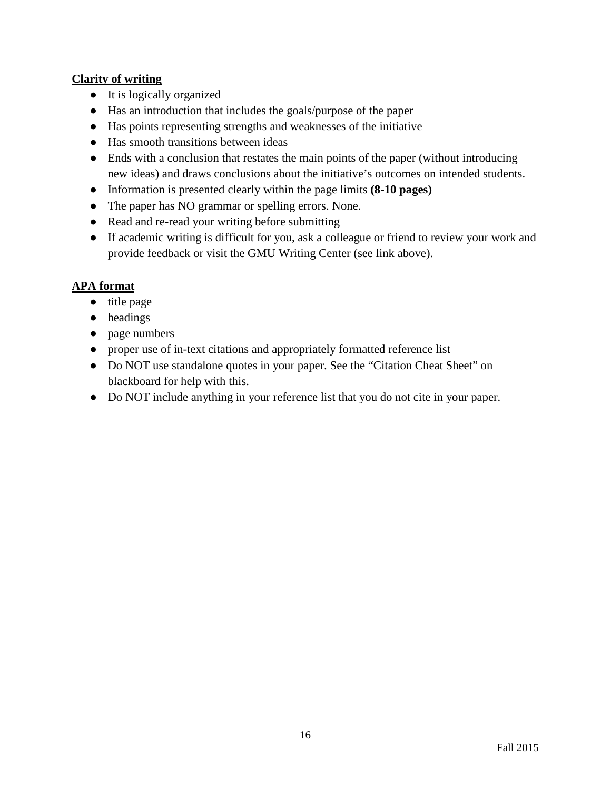## **Clarity of writing**

- It is logically organized
- Has an introduction that includes the goals/purpose of the paper
- Has points representing strengths and weaknesses of the initiative
- Has smooth transitions between ideas
- Ends with a conclusion that restates the main points of the paper (without introducing new ideas) and draws conclusions about the initiative's outcomes on intended students.
- Information is presented clearly within the page limits **(8-10 pages)**
- The paper has NO grammar or spelling errors. None.
- Read and re-read your writing before submitting
- If academic writing is difficult for you, ask a colleague or friend to review your work and provide feedback or visit the GMU Writing Center (see link above).

## **APA format**

- title page
- headings
- page numbers
- proper use of in-text citations and appropriately formatted reference list
- Do NOT use standalone quotes in your paper. See the "Citation Cheat Sheet" on blackboard for help with this.
- Do NOT include anything in your reference list that you do not cite in your paper.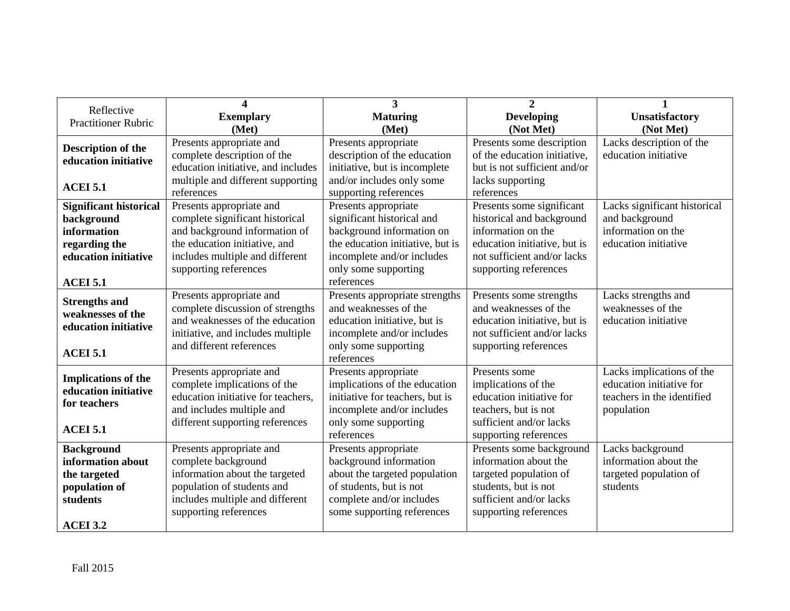| Reflective                    | 4                                  | 3                                | $\overline{2}$               |                              |
|-------------------------------|------------------------------------|----------------------------------|------------------------------|------------------------------|
| <b>Practitioner Rubric</b>    | <b>Exemplary</b>                   | <b>Maturing</b>                  | <b>Developing</b>            | <b>Unsatisfactory</b>        |
|                               | (Met)                              | (Met)                            | (Not Met)                    | (Not Met)                    |
| <b>Description of the</b>     | Presents appropriate and           | Presents appropriate             | Presents some description    | Lacks description of the     |
| education initiative          | complete description of the        | description of the education     | of the education initiative, | education initiative         |
|                               | education initiative, and includes | initiative, but is incomplete    | but is not sufficient and/or |                              |
| <b>ACEI 5.1</b>               | multiple and different supporting  | and/or includes only some        | lacks supporting             |                              |
|                               | references                         | supporting references            | references                   |                              |
| <b>Significant historical</b> | Presents appropriate and           | Presents appropriate             | Presents some significant    | Lacks significant historical |
| background                    | complete significant historical    | significant historical and       | historical and background    | and background               |
| information                   | and background information of      | background information on        | information on the           | information on the           |
| regarding the                 | the education initiative, and      | the education initiative, but is | education initiative, but is | education initiative         |
| education initiative          | includes multiple and different    | incomplete and/or includes       | not sufficient and/or lacks  |                              |
|                               | supporting references              | only some supporting             | supporting references        |                              |
| <b>ACEI 5.1</b>               |                                    | references                       |                              |                              |
| <b>Strengths and</b>          | Presents appropriate and           | Presents appropriate strengths   | Presents some strengths      | Lacks strengths and          |
| weaknesses of the             | complete discussion of strengths   | and weaknesses of the            | and weaknesses of the        | weaknesses of the            |
| education initiative          | and weaknesses of the education    | education initiative, but is     | education initiative, but is | education initiative         |
|                               | initiative, and includes multiple  | incomplete and/or includes       | not sufficient and/or lacks  |                              |
| <b>ACEI 5.1</b>               | and different references           | only some supporting             | supporting references        |                              |
|                               |                                    | references                       |                              |                              |
| <b>Implications of the</b>    | Presents appropriate and           | Presents appropriate             | Presents some                | Lacks implications of the    |
| education initiative          | complete implications of the       | implications of the education    | implications of the          | education initiative for     |
| for teachers                  | education initiative for teachers, | initiative for teachers, but is  | education initiative for     | teachers in the identified   |
|                               | and includes multiple and          | incomplete and/or includes       | teachers, but is not         | population                   |
| <b>ACEI 5.1</b>               | different supporting references    | only some supporting             | sufficient and/or lacks      |                              |
|                               |                                    | references                       | supporting references        |                              |
| <b>Background</b>             | Presents appropriate and           | Presents appropriate             | Presents some background     | Lacks background             |
| information about             | complete background                | background information           | information about the        | information about the        |
| the targeted                  | information about the targeted     | about the targeted population    | targeted population of       | targeted population of       |
| population of                 | population of students and         | of students, but is not          | students, but is not         | students                     |
| students                      | includes multiple and different    | complete and/or includes         | sufficient and/or lacks      |                              |
|                               | supporting references              | some supporting references       | supporting references        |                              |
| <b>ACEI 3.2</b>               |                                    |                                  |                              |                              |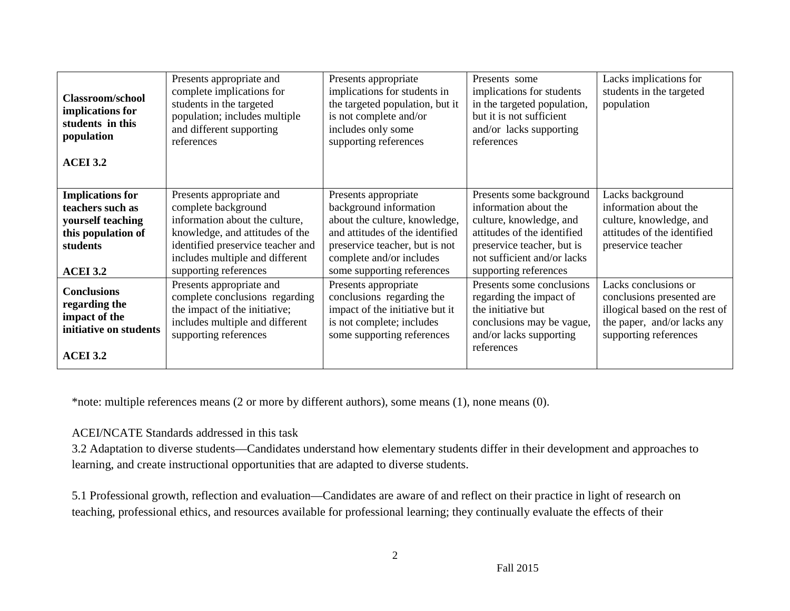| <b>Classroom/school</b><br>implications for<br>students in this<br>population<br><b>ACEI 3.2</b>  | Presents appropriate and<br>complete implications for<br>students in the targeted<br>population; includes multiple<br>and different supporting<br>references | Presents appropriate<br>implications for students in<br>the targeted population, but it<br>is not complete and/or<br>includes only some<br>supporting references | Presents some<br>implications for students<br>in the targeted population,<br>but it is not sufficient<br>and/or lacks supporting<br>references   | Lacks implications for<br>students in the targeted<br>population                                                                            |
|---------------------------------------------------------------------------------------------------|--------------------------------------------------------------------------------------------------------------------------------------------------------------|------------------------------------------------------------------------------------------------------------------------------------------------------------------|--------------------------------------------------------------------------------------------------------------------------------------------------|---------------------------------------------------------------------------------------------------------------------------------------------|
| <b>Implications for</b><br>teachers such as<br>yourself teaching                                  | Presents appropriate and<br>complete background<br>information about the culture,                                                                            | Presents appropriate<br>background information<br>about the culture, knowledge,                                                                                  | Presents some background<br>information about the<br>culture, knowledge, and                                                                     | Lacks background<br>information about the<br>culture, knowledge, and                                                                        |
| this population of<br>students                                                                    | knowledge, and attitudes of the<br>identified preservice teacher and<br>includes multiple and different                                                      | and attitudes of the identified<br>preservice teacher, but is not<br>complete and/or includes                                                                    | attitudes of the identified<br>preservice teacher, but is<br>not sufficient and/or lacks                                                         | attitudes of the identified<br>preservice teacher                                                                                           |
| <b>ACEI 3.2</b>                                                                                   | supporting references                                                                                                                                        | some supporting references                                                                                                                                       | supporting references                                                                                                                            |                                                                                                                                             |
| <b>Conclusions</b><br>regarding the<br>impact of the<br>initiative on students<br><b>ACEI 3.2</b> | Presents appropriate and<br>complete conclusions regarding<br>the impact of the initiative;<br>includes multiple and different<br>supporting references      | Presents appropriate<br>conclusions regarding the<br>impact of the initiative but it<br>is not complete; includes<br>some supporting references                  | Presents some conclusions<br>regarding the impact of<br>the initiative but<br>conclusions may be vague,<br>and/or lacks supporting<br>references | Lacks conclusions or<br>conclusions presented are<br>illogical based on the rest of<br>the paper, and/or lacks any<br>supporting references |

\*note: multiple references means (2 or more by different authors), some means (1), none means (0).

## ACEI/NCATE Standards addressed in this task

3.2 Adaptation to diverse students—Candidates understand how elementary students differ in their development and approaches to learning, and create instructional opportunities that are adapted to diverse students.

5.1 Professional growth, reflection and evaluation—Candidates are aware of and reflect on their practice in light of research on teaching, professional ethics, and resources available for professional learning; they continually evaluate the effects of their